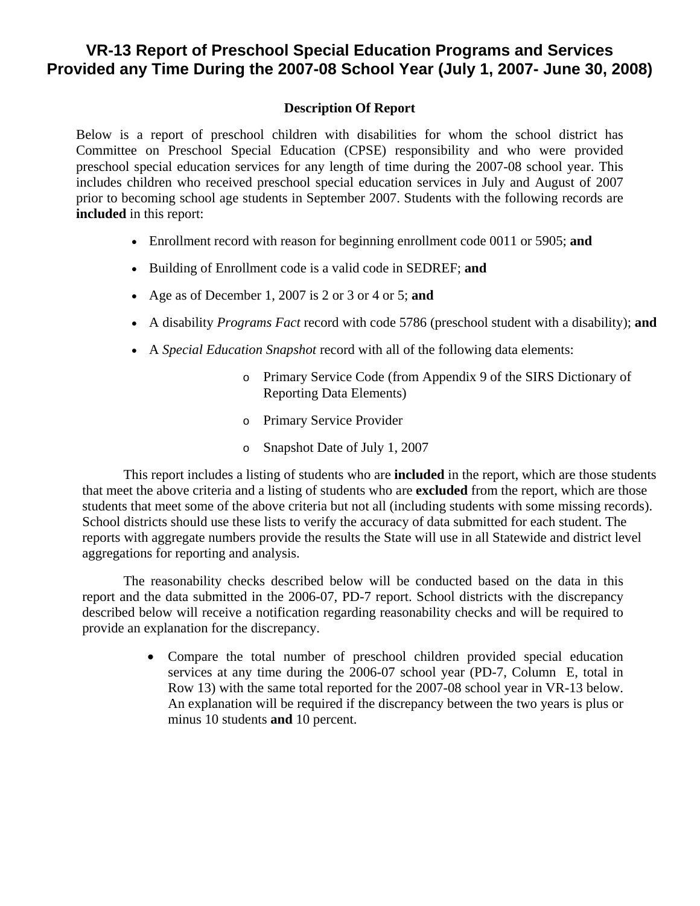## **VR-13 Report of Preschool Special Education Programs and Services Provided any Time During the 2007-08 School Year (July 1, 2007- June 30, 2008)**

## **Description Of Report**

Below is a report of preschool children with disabilities for whom the school district has Committee on Preschool Special Education (CPSE) responsibility and who were provided preschool special education services for any length of time during the 2007-08 school year. This includes children who received preschool special education services in July and August of 2007 prior to becoming school age students in September 2007. Students with the following records are **included** in this report:

- Enrollment record with reason for beginning enrollment code 0011 or 5905; **and**
- Building of Enrollment code is a valid code in SEDREF; **and**
- Age as of December 1, 2007 is 2 or 3 or 4 or 5; **and**
- A disability *Programs Fact* record with code 5786 (preschool student with a disability); **and**
- A *Special Education Snapshot* record with all of the following data elements:
	- o Primary Service Code (from Appendix 9 of the SIRS Dictionary of Reporting Data Elements)
	- o Primary Service Provider
	- o Snapshot Date of July 1, 2007

This report includes a listing of students who are **included** in the report, which are those students that meet the above criteria and a listing of students who are **excluded** from the report, which are those students that meet some of the above criteria but not all (including students with some missing records). School districts should use these lists to verify the accuracy of data submitted for each student. The reports with aggregate numbers provide the results the State will use in all Statewide and district level aggregations for reporting and analysis.

The reasonability checks described below will be conducted based on the data in this report and the data submitted in the 2006-07, PD-7 report. School districts with the discrepancy described below will receive a notification regarding reasonability checks and will be required to provide an explanation for the discrepancy.

> • Compare the total number of preschool children provided special education services at any time during the 2006-07 school year (PD-7, Column E, total in Row 13) with the same total reported for the 2007-08 school year in VR-13 below. An explanation will be required if the discrepancy between the two years is plus or minus 10 students **and** 10 percent.